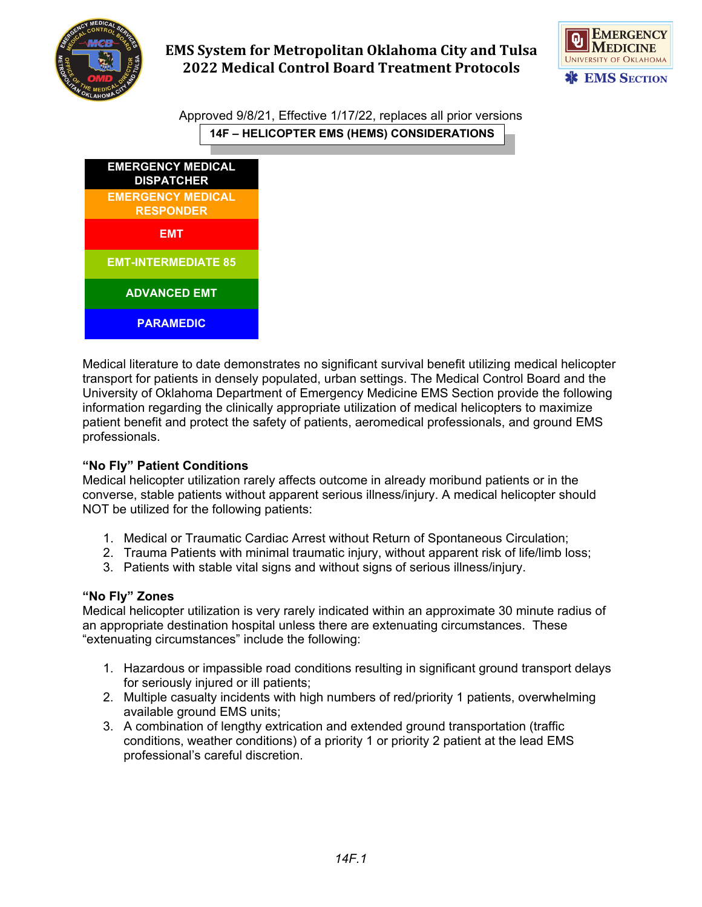

# **EMS System for Metropolitan Oklahoma City and Tulsa 2022 Medical Control Board Treatment Protocols**



Approved 9/8/21, Effective 1/17/22, replaces all prior versions **14F – HELICOPTER EMS (HEMS) CONSIDERATIONS**



Medical literature to date demonstrates no significant survival benefit utilizing medical helicopter transport for patients in densely populated, urban settings. The Medical Control Board and the University of Oklahoma Department of Emergency Medicine EMS Section provide the following information regarding the clinically appropriate utilization of medical helicopters to maximize patient benefit and protect the safety of patients, aeromedical professionals, and ground EMS professionals.

## **"No Fly" Patient Conditions**

Medical helicopter utilization rarely affects outcome in already moribund patients or in the converse, stable patients without apparent serious illness/injury. A medical helicopter should NOT be utilized for the following patients:

- 1. Medical or Traumatic Cardiac Arrest without Return of Spontaneous Circulation;
- 2. Trauma Patients with minimal traumatic injury, without apparent risk of life/limb loss;
- 3. Patients with stable vital signs and without signs of serious illness/injury.

### **"No Fly" Zones**

Medical helicopter utilization is very rarely indicated within an approximate 30 minute radius of an appropriate destination hospital unless there are extenuating circumstances. These "extenuating circumstances" include the following:

- 1. Hazardous or impassible road conditions resulting in significant ground transport delays for seriously injured or ill patients;
- 2. Multiple casualty incidents with high numbers of red/priority 1 patients, overwhelming available ground EMS units;
- 3. A combination of lengthy extrication and extended ground transportation (traffic conditions, weather conditions) of a priority 1 or priority 2 patient at the lead EMS professional's careful discretion.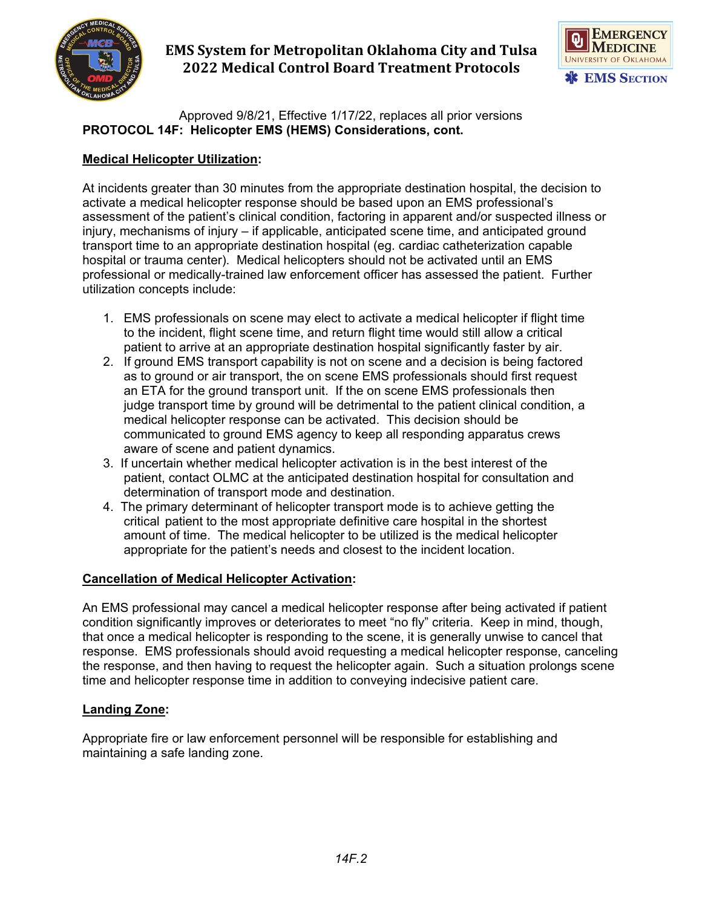

# **EMS System for Metropolitan Oklahoma City and Tulsa 2022 Medical Control Board Treatment Protocols**



Approved 9/8/21, Effective 1/17/22, replaces all prior versions **PROTOCOL 14F: Helicopter EMS (HEMS) Considerations, cont.**

### **Medical Helicopter Utilization:**

At incidents greater than 30 minutes from the appropriate destination hospital, the decision to activate a medical helicopter response should be based upon an EMS professional's assessment of the patient's clinical condition, factoring in apparent and/or suspected illness or injury, mechanisms of injury – if applicable, anticipated scene time, and anticipated ground transport time to an appropriate destination hospital (eg. cardiac catheterization capable hospital or trauma center). Medical helicopters should not be activated until an EMS professional or medically-trained law enforcement officer has assessed the patient. Further utilization concepts include:

- 1. EMS professionals on scene may elect to activate a medical helicopter if flight time to the incident, flight scene time, and return flight time would still allow a critical patient to arrive at an appropriate destination hospital significantly faster by air.
- 2. If ground EMS transport capability is not on scene and a decision is being factored as to ground or air transport, the on scene EMS professionals should first request an ETA for the ground transport unit. If the on scene EMS professionals then judge transport time by ground will be detrimental to the patient clinical condition, a medical helicopter response can be activated. This decision should be communicated to ground EMS agency to keep all responding apparatus crews aware of scene and patient dynamics.
- 3. If uncertain whether medical helicopter activation is in the best interest of the patient, contact OLMC at the anticipated destination hospital for consultation and determination of transport mode and destination.
- 4. The primary determinant of helicopter transport mode is to achieve getting the critical patient to the most appropriate definitive care hospital in the shortest amount of time. The medical helicopter to be utilized is the medical helicopter appropriate for the patient's needs and closest to the incident location.

## **Cancellation of Medical Helicopter Activation:**

An EMS professional may cancel a medical helicopter response after being activated if patient condition significantly improves or deteriorates to meet "no fly" criteria. Keep in mind, though, that once a medical helicopter is responding to the scene, it is generally unwise to cancel that response. EMS professionals should avoid requesting a medical helicopter response, canceling the response, and then having to request the helicopter again. Such a situation prolongs scene time and helicopter response time in addition to conveying indecisive patient care.

### **Landing Zone:**

Appropriate fire or law enforcement personnel will be responsible for establishing and maintaining a safe landing zone.